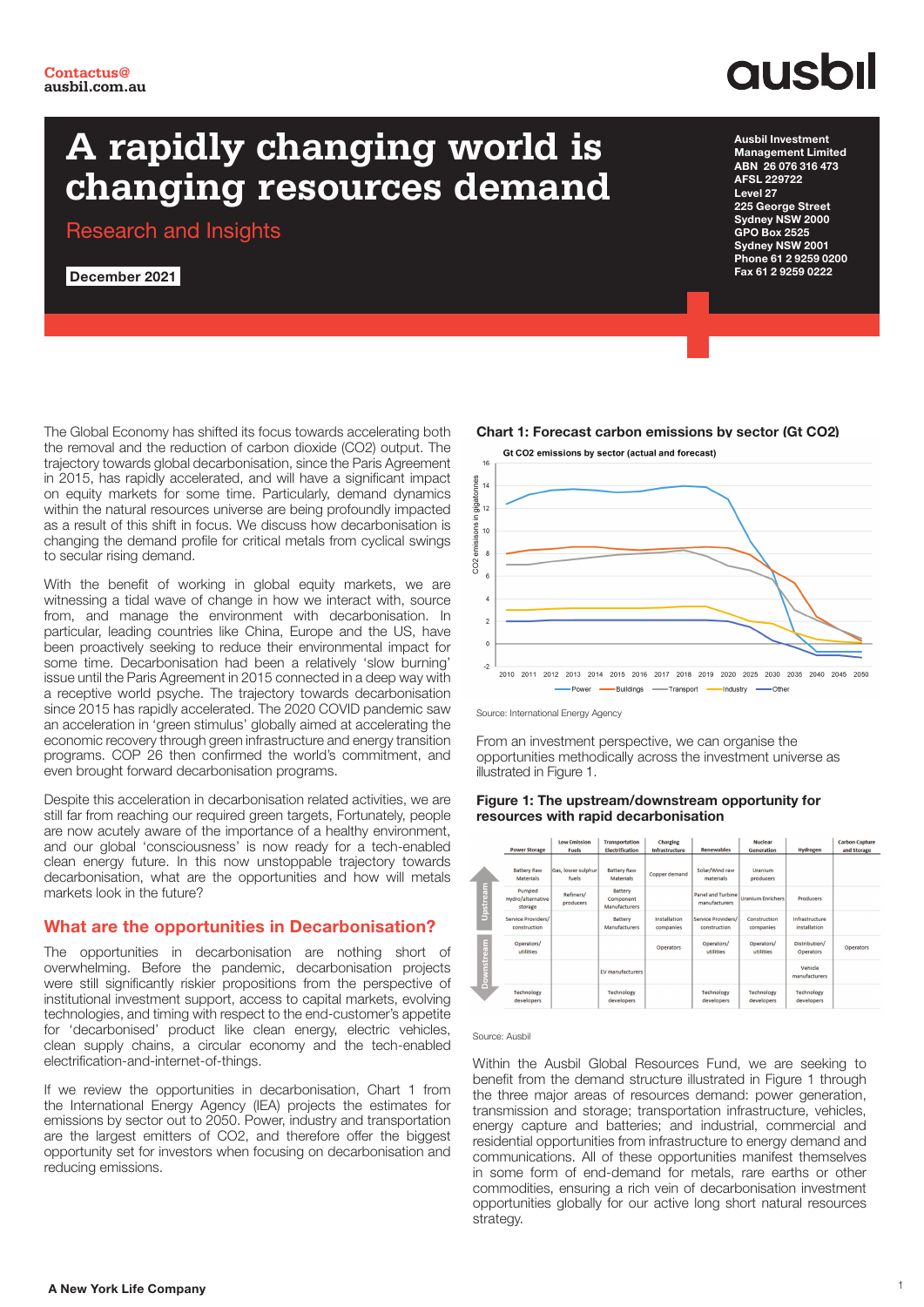## **QUSOI**

Ausbil Investment Management Limited ABN 26 076 316 473 AFSL 229722 Level 27

225 George Street Sydney NSW 2000 GPO Box 2525 Sydney NSW 2001 Phone 61 2 9259 0200 Fax 61 2 9259 0222

### **A rapidly changing world is changing resources demand**

Research and Insights

December 2021

The Global Economy has shifted its focus towards accelerating both the removal and the reduction of carbon dioxide (CO2) output. The trajectory towards global decarbonisation, since the Paris Agreement in 2015, has rapidly accelerated, and will have a significant impact on equity markets for some time. Particularly, demand dynamics within the natural resources universe are being profoundly impacted as a result of this shift in focus. We discuss how decarbonisation is changing the demand profile for critical metals from cyclical swings to secular rising demand.

With the benefit of working in global equity markets, we are witnessing a tidal wave of change in how we interact with, source from, and manage the environment with decarbonisation. In particular, leading countries like China, Europe and the US, have been proactively seeking to reduce their environmental impact for some time. Decarbonisation had been a relatively 'slow burning' issue until the Paris Agreement in 2015 connected in a deep way with a receptive world psyche. The trajectory towards decarbonisation since 2015 has rapidly accelerated. The 2020 COVID pandemic saw an acceleration in 'green stimulus' globally aimed at accelerating the economic recovery through green infrastructure and energy transition programs. COP 26 then confirmed the world's commitment, and even brought forward decarbonisation programs.

Despite this acceleration in decarbonisation related activities, we are still far from reaching our required green targets, Fortunately, people are now acutely aware of the importance of a healthy environment, and our global 'consciousness' is now ready for a tech-enabled clean energy future. In this now unstoppable trajectory towards decarbonisation, what are the opportunities and how will metals markets look in the future?

### What are the opportunities in Decarbonisation?

The opportunities in decarbonisation are nothing short of overwhelming. Before the pandemic, decarbonisation projects were still significantly riskier propositions from the perspective of institutional investment support, access to capital markets, evolving technologies, and timing with respect to the end-customer's appetite for 'decarbonised' product like clean energy, electric vehicles, clean supply chains, a circular economy and the tech-enabled electrification-and-internet-of-things.

If we review the opportunities in decarbonisation, Chart 1 from the International Energy Agency (IEA) projects the estimates for emissions by sector out to 2050. Power, industry and transportation are the largest emitters of CO2, and therefore offer the biggest opportunity set for investors when focusing on decarbonisation and reducing emissions.



Chart 1: Forecast carbon emissions by sector (Gt CO2)



From an investment perspective, we can organise the opportunities methodically across the investment universe as illustrated in Figure 1.



### Figure 1: The upstream/downstream opportunity for resources with rapid decarbonisation

### Source: Ausbil

Within the Ausbil Global Resources Fund, we are seeking to benefit from the demand structure illustrated in Figure 1 through the three major areas of resources demand: power generation, transmission and storage; transportation infrastructure, vehicles, energy capture and batteries; and industrial, commercial and residential opportunities from infrastructure to energy demand and communications. All of these opportunities manifest themselves in some form of end-demand for metals, rare earths or other commodities, ensuring a rich vein of decarbonisation investment opportunities globally for our active long short natural resources strategy.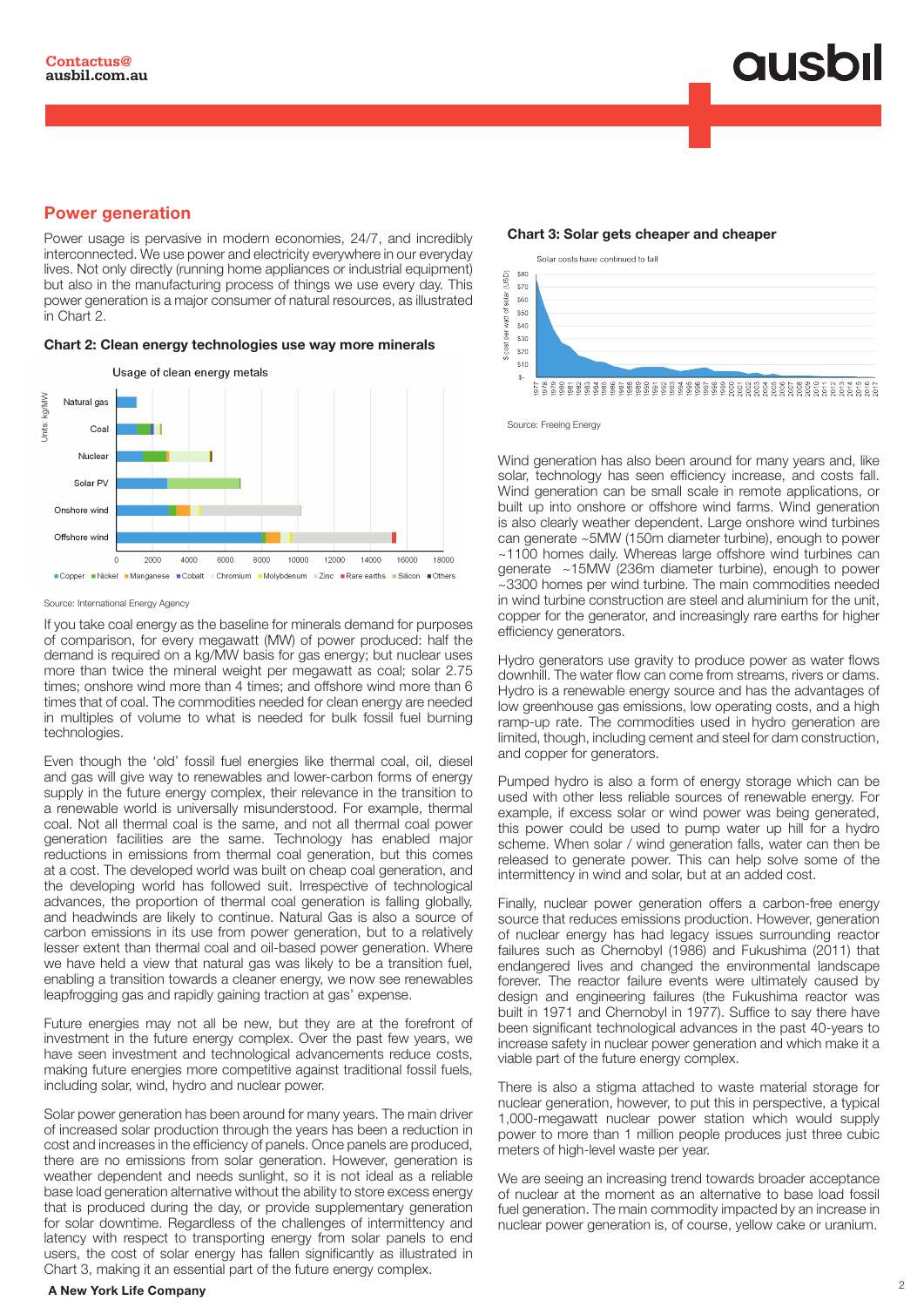### **ausbil**

### Power generation

Power usage is pervasive in modern economies, 24/7, and incredibly interconnected. We use power and electricity everywhere in our everyday lives. Not only directly (running home appliances or industrial equipment) but also in the manufacturing process of things we use every day. This power generation is a major consumer of natural resources, as illustrated in Chart 2.

### Chart 2: Clean energy technologies use way more minerals



### Source: International Energy Agency

If you take coal energy as the baseline for minerals demand for purposes of comparison, for every megawatt (MW) of power produced: half the demand is required on a kg/MW basis for gas energy; but nuclear uses more than twice the mineral weight per megawatt as coal; solar 2.75 times; onshore wind more than 4 times; and offshore wind more than 6 times that of coal. The commodities needed for clean energy are needed in multiples of volume to what is needed for bulk fossil fuel burning technologies.

Even though the 'old' fossil fuel energies like thermal coal, oil, diesel and gas will give way to renewables and lower-carbon forms of energy supply in the future energy complex, their relevance in the transition to a renewable world is universally misunderstood. For example, thermal coal. Not all thermal coal is the same, and not all thermal coal power generation facilities are the same. Technology has enabled major reductions in emissions from thermal coal generation, but this comes at a cost. The developed world was built on cheap coal generation, and the developing world has followed suit. Irrespective of technological advances, the proportion of thermal coal generation is falling globally, and headwinds are likely to continue. Natural Gas is also a source of carbon emissions in its use from power generation, but to a relatively lesser extent than thermal coal and oil-based power generation. Where we have held a view that natural gas was likely to be a transition fuel, enabling a transition towards a cleaner energy, we now see renewables leapfrogging gas and rapidly gaining traction at gas' expense.

Future energies may not all be new, but they are at the forefront of investment in the future energy complex. Over the past few years, we have seen investment and technological advancements reduce costs, making future energies more competitive against traditional fossil fuels, including solar, wind, hydro and nuclear power.

Solar power generation has been around for many years. The main driver of increased solar production through the years has been a reduction in cost and increases in the efficiency of panels. Once panels are produced, there are no emissions from solar generation. However, generation is weather dependent and needs sunlight, so it is not ideal as a reliable base load generation alternative without the ability to store excess energy that is produced during the day, or provide supplementary generation for solar downtime. Regardless of the challenges of intermittency and latency with respect to transporting energy from solar panels to end users, the cost of solar energy has fallen significantly as illustrated in Chart 3, making it an essential part of the future energy complex.

### <sup>2</sup> A New York Life Company

Solar costs have continued to fall  $$80$ (USD) \$70 of solar \$60 \$50 tew san ner<br>D  $-$  30 icost  $$20$  $$10$ 

Source: Freeing Energy

Wind generation has also been around for many years and, like solar, technology has seen efficiency increase, and costs fall. Wind generation can be small scale in remote applications, or built up into onshore or offshore wind farms. Wind generation is also clearly weather dependent. Large onshore wind turbines can generate ~5MW (150m diameter turbine), enough to power ~1100 homes daily. Whereas large offshore wind turbines can generate ~15MW (236m diameter turbine), enough to power ~3300 homes per wind turbine. The main commodities needed in wind turbine construction are steel and aluminium for the unit, copper for the generator, and increasingly rare earths for higher efficiency generators.

Hydro generators use gravity to produce power as water flows downhill. The water flow can come from streams, rivers or dams. Hydro is a renewable energy source and has the advantages of low greenhouse gas emissions, low operating costs, and a high ramp-up rate. The commodities used in hydro generation are limited, though, including cement and steel for dam construction, and copper for generators.

Pumped hydro is also a form of energy storage which can be used with other less reliable sources of renewable energy. For example, if excess solar or wind power was being generated, this power could be used to pump water up hill for a hydro scheme. When solar / wind generation falls, water can then be released to generate power. This can help solve some of the intermittency in wind and solar, but at an added cost.

Finally, nuclear power generation offers a carbon-free energy source that reduces emissions production. However, generation of nuclear energy has had legacy issues surrounding reactor failures such as Chernobyl (1986) and Fukushima (2011) that endangered lives and changed the environmental landscape forever. The reactor failure events were ultimately caused by design and engineering failures (the Fukushima reactor was built in 1971 and Chernobyl in 1977). Suffice to say there have been significant technological advances in the past 40-years to increase safety in nuclear power generation and which make it a viable part of the future energy complex.

There is also a stigma attached to waste material storage for nuclear generation, however, to put this in perspective, a typical 1,000-megawatt nuclear power station which would supply power to more than 1 million people produces just three cubic meters of high-level waste per year.

We are seeing an increasing trend towards broader acceptance of nuclear at the moment as an alternative to base load fossil fuel generation. The main commodity impacted by an increase in nuclear power generation is, of course, yellow cake or uranium.

Chart 3: Solar gets cheaper and cheaper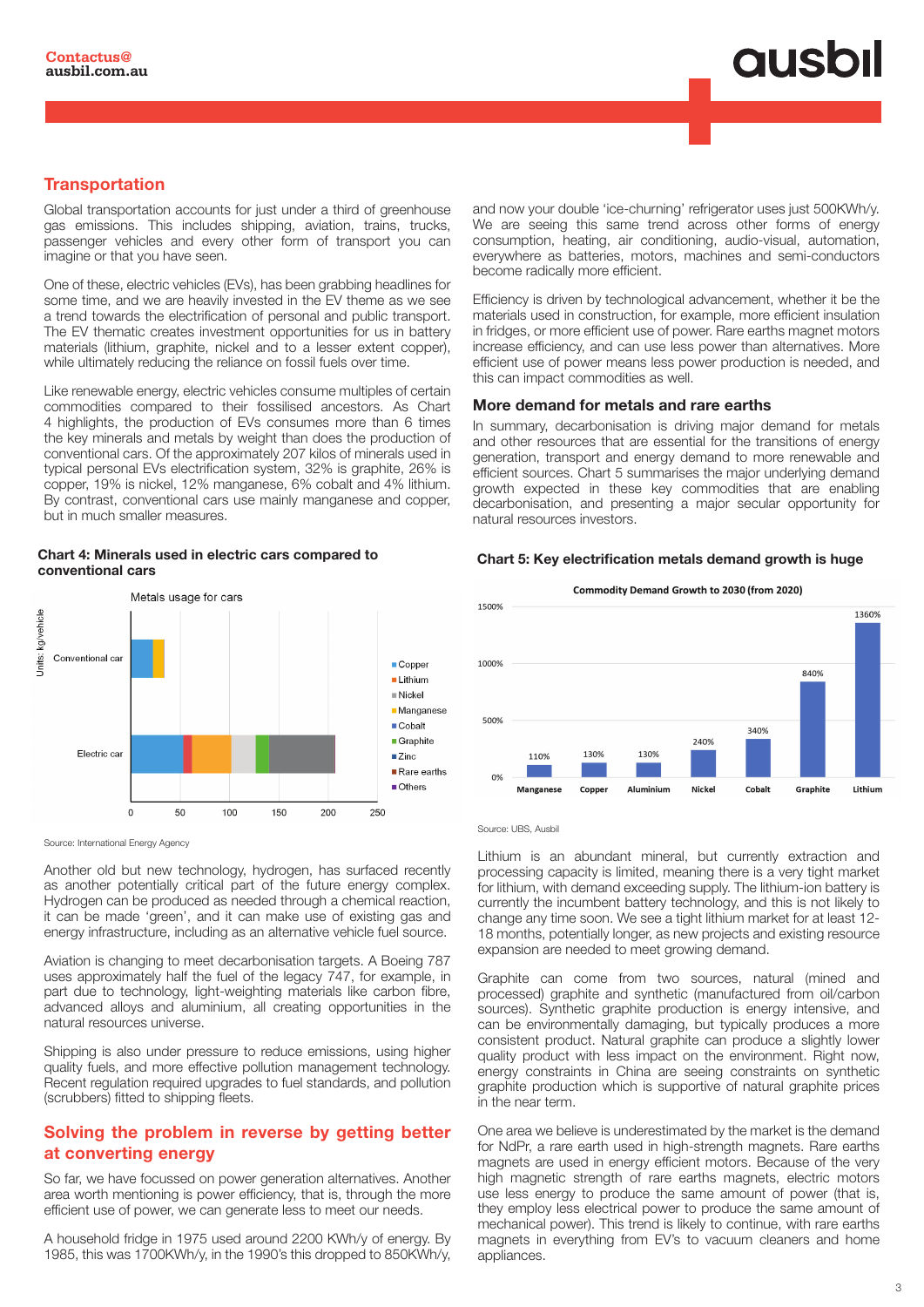# **ausbil**

### **Transportation**

Global transportation accounts for just under a third of greenhouse gas emissions. This includes shipping, aviation, trains, trucks, passenger vehicles and every other form of transport you can imagine or that you have seen.

One of these, electric vehicles (EVs), has been grabbing headlines for some time, and we are heavily invested in the EV theme as we see a trend towards the electrification of personal and public transport. The EV thematic creates investment opportunities for us in battery materials (lithium, graphite, nickel and to a lesser extent copper), while ultimately reducing the reliance on fossil fuels over time.

Like renewable energy, electric vehicles consume multiples of certain commodities compared to their fossilised ancestors. As Chart 4 highlights, the production of EVs consumes more than 6 times the key minerals and metals by weight than does the production of conventional cars. Of the approximately 207 kilos of minerals used in typical personal EVs electrification system, 32% is graphite, 26% is copper, 19% is nickel, 12% manganese, 6% cobalt and 4% lithium. By contrast, conventional cars use mainly manganese and copper, but in much smaller measures.

### Chart 4: Minerals used in electric cars compared to conventional cars



Source: International Energy Agency

Another old but new technology, hydrogen, has surfaced recently as another potentially critical part of the future energy complex. Hydrogen can be produced as needed through a chemical reaction, it can be made 'green', and it can make use of existing gas and energy infrastructure, including as an alternative vehicle fuel source.

Aviation is changing to meet decarbonisation targets. A Boeing 787 uses approximately half the fuel of the legacy 747, for example, in part due to technology, light-weighting materials like carbon fibre, advanced alloys and aluminium, all creating opportunities in the natural resources universe.

Shipping is also under pressure to reduce emissions, using higher quality fuels, and more effective pollution management technology. Recent regulation required upgrades to fuel standards, and pollution (scrubbers) fitted to shipping fleets.

### Solving the problem in reverse by getting better at converting energy

So far, we have focussed on power generation alternatives. Another area worth mentioning is power efficiency, that is, through the more efficient use of power, we can generate less to meet our needs.

A household fridge in 1975 used around 2200 KWh/y of energy. By 1985, this was 1700KWh/y, in the 1990's this dropped to 850KWh/y,

and now your double 'ice-churning' refrigerator uses just 500KWh/y. We are seeing this same trend across other forms of energy consumption, heating, air conditioning, audio-visual, automation, everywhere as batteries, motors, machines and semi-conductors become radically more efficient.

Efficiency is driven by technological advancement, whether it be the materials used in construction, for example, more efficient insulation in fridges, or more efficient use of power. Rare earths magnet motors increase efficiency, and can use less power than alternatives. More efficient use of power means less power production is needed, and this can impact commodities as well.

### More demand for metals and rare earths

In summary, decarbonisation is driving major demand for metals and other resources that are essential for the transitions of energy generation, transport and energy demand to more renewable and efficient sources. Chart 5 summarises the major underlying demand growth expected in these key commodities that are enabling decarbonisation, and presenting a major secular opportunity for natural resources investors.

### Chart 5: Key electrification metals demand growth is huge



Source: UBS, Ausbill

Lithium is an abundant mineral, but currently extraction and processing capacity is limited, meaning there is a very tight market for lithium, with demand exceeding supply. The lithium-ion battery is currently the incumbent battery technology, and this is not likely to change any time soon. We see a tight lithium market for at least 12- 18 months, potentially longer, as new projects and existing resource expansion are needed to meet growing demand.

Graphite can come from two sources, natural (mined and processed) graphite and synthetic (manufactured from oil/carbon sources). Synthetic graphite production is energy intensive, and can be environmentally damaging, but typically produces a more consistent product. Natural graphite can produce a slightly lower quality product with less impact on the environment. Right now, energy constraints in China are seeing constraints on synthetic graphite production which is supportive of natural graphite prices in the near term.

One area we believe is underestimated by the market is the demand for NdPr, a rare earth used in high-strength magnets. Rare earths magnets are used in energy efficient motors. Because of the very high magnetic strength of rare earths magnets, electric motors use less energy to produce the same amount of power (that is, they employ less electrical power to produce the same amount of mechanical power). This trend is likely to continue, with rare earths magnets in everything from EV's to vacuum cleaners and home appliances.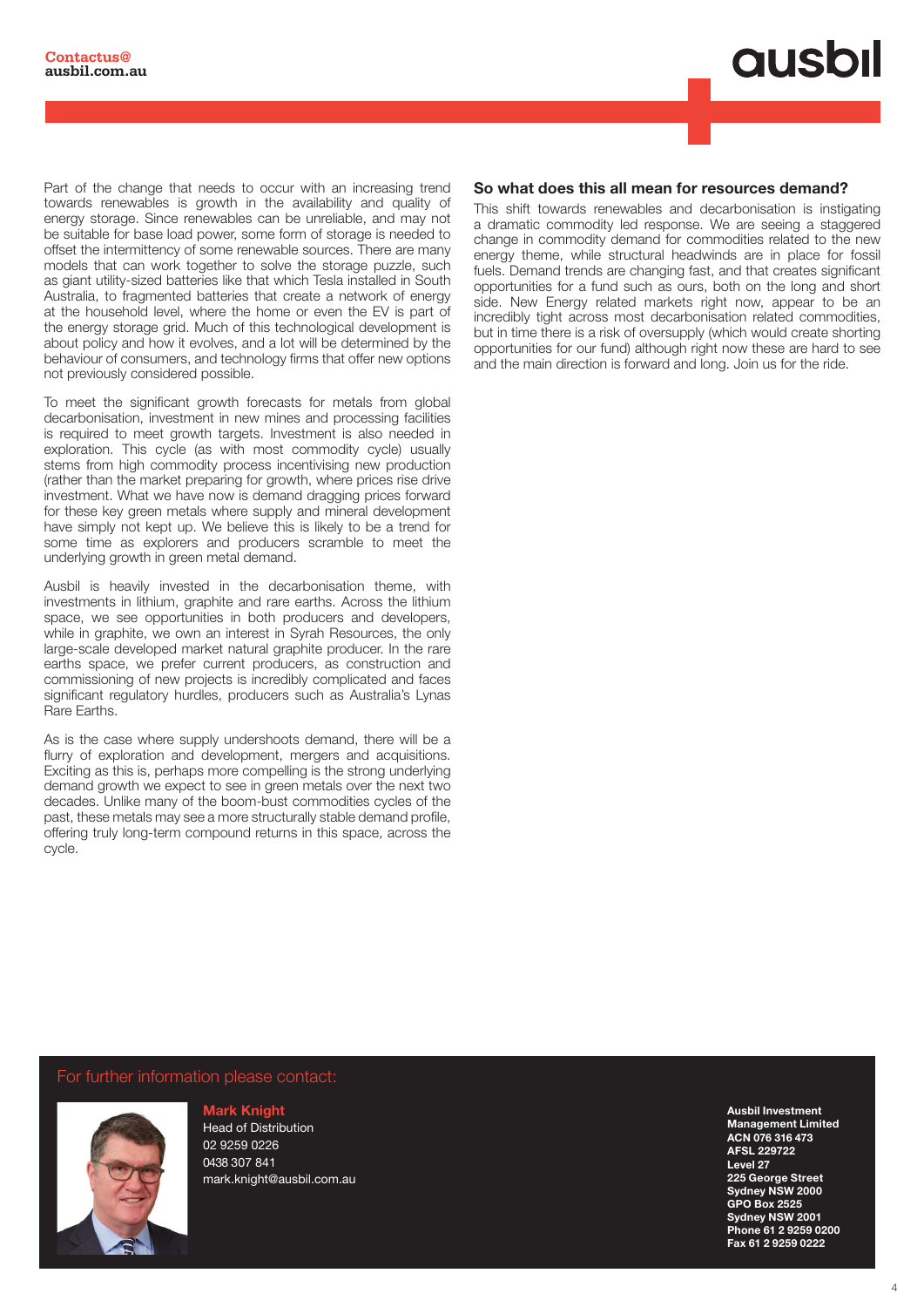**ausbil** 

Part of the change that needs to occur with an increasing trend towards renewables is growth in the availability and quality of energy storage. Since renewables can be unreliable, and may not be suitable for base load power, some form of storage is needed to offset the intermittency of some renewable sources. There are many models that can work together to solve the storage puzzle, such as giant utility-sized batteries like that which Tesla installed in South Australia, to fragmented batteries that create a network of energy at the household level, where the home or even the EV is part of the energy storage grid. Much of this technological development is about policy and how it evolves, and a lot will be determined by the behaviour of consumers, and technology firms that offer new options not previously considered possible.

To meet the significant growth forecasts for metals from global decarbonisation, investment in new mines and processing facilities is required to meet growth targets. Investment is also needed in exploration. This cycle (as with most commodity cycle) usually stems from high commodity process incentivising new production (rather than the market preparing for growth, where prices rise drive investment. What we have now is demand dragging prices forward for these key green metals where supply and mineral development have simply not kept up. We believe this is likely to be a trend for some time as explorers and producers scramble to meet the underlying growth in green metal demand.

Ausbil is heavily invested in the decarbonisation theme, with investments in lithium, graphite and rare earths. Across the lithium space, we see opportunities in both producers and developers, while in graphite, we own an interest in Syrah Resources, the only large-scale developed market natural graphite producer. In the rare earths space, we prefer current producers, as construction and commissioning of new projects is incredibly complicated and faces significant regulatory hurdles, producers such as Australia's Lynas Rare Earths.

As is the case where supply undershoots demand, there will be a flurry of exploration and development, mergers and acquisitions. Exciting as this is, perhaps more compelling is the strong underlying demand growth we expect to see in green metals over the next two decades. Unlike many of the boom-bust commodities cycles of the past, these metals may see a more structurally stable demand profile, offering truly long-term compound returns in this space, across the cycle.

### So what does this all mean for resources demand?

This shift towards renewables and decarbonisation is instigating a dramatic commodity led response. We are seeing a staggered change in commodity demand for commodities related to the new energy theme, while structural headwinds are in place for fossil fuels. Demand trends are changing fast, and that creates significant opportunities for a fund such as ours, both on the long and short side. New Energy related markets right now, appear to be an incredibly tight across most decarbonisation related commodities, but in time there is a risk of oversupply (which would create shorting opportunities for our fund) although right now these are hard to see and the main direction is forward and long. Join us for the ride.

For further information please contact:



 $\mathbf{F}_{\text{max}}$  information or to schedule and interview please contact:  $\mathbf{F}_{\text{max}}$ Head of Distribution 02 9259 0226 0438 307 841 mark.knight@ausbil.com.au

Email: kirsty@honner.com.au

Ausbil Investment Management Limited ACN 076 316 473 AFSL 229722 Level 27 225 George Street Sydney NSW 2000 GPO Box 2525 Sydney NSW 2001 Phone 61 2 9259 0200 Fax 61 2 9259 0222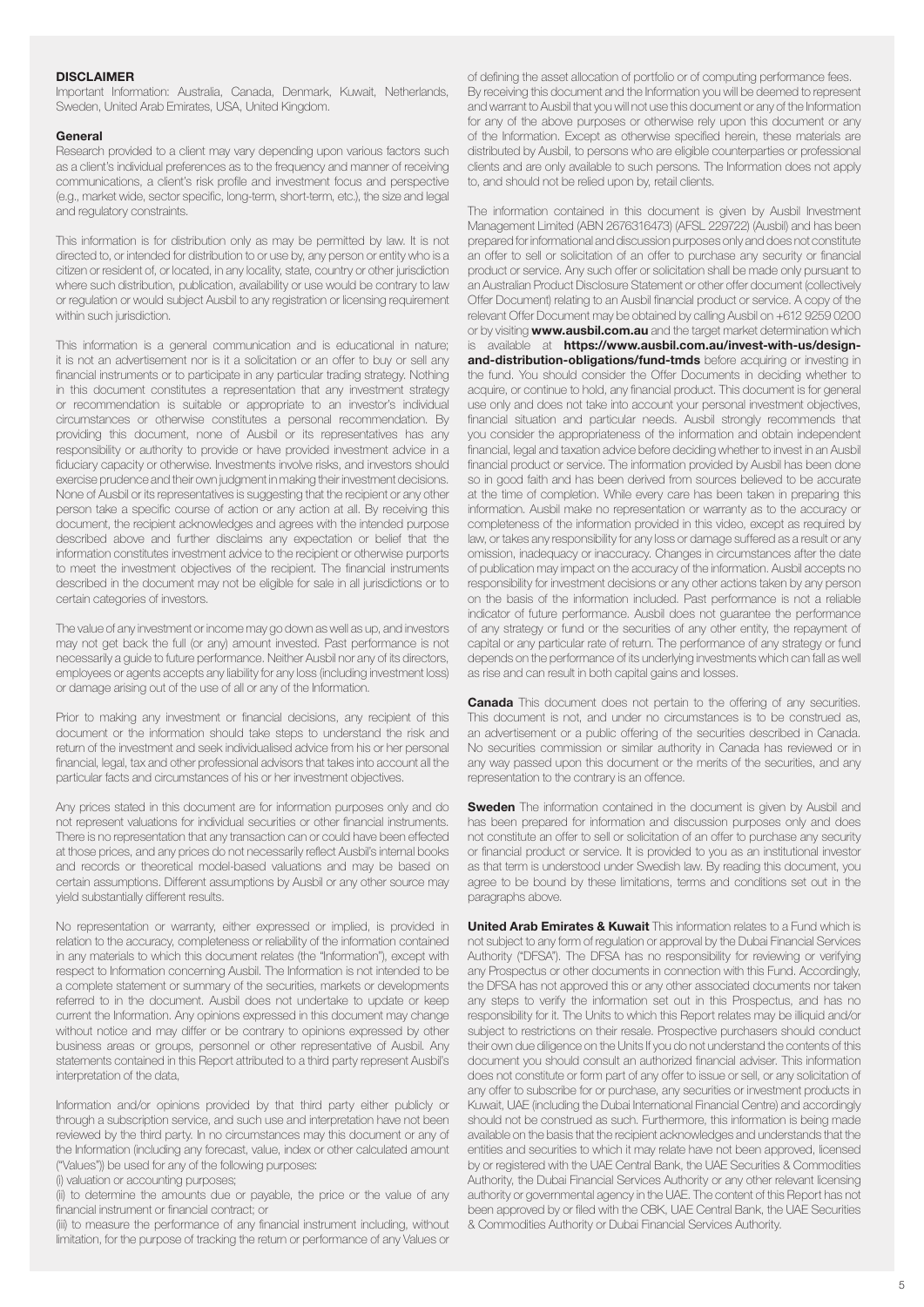### **DISCLAIMER**

Important Information: Australia, Canada, Denmark, Kuwait, Netherlands, Sweden, United Arab Emirates, USA, United Kingdom.

#### General

Research provided to a client may vary depending upon various factors such as a client's individual preferences as to the frequency and manner of receiving communications, a client's risk profile and investment focus and perspective (e.g., market wide, sector specific, long-term, short-term, etc.), the size and legal and regulatory constraints.

This information is for distribution only as may be permitted by law. It is not directed to, or intended for distribution to or use by, any person or entity who is a citizen or resident of, or located, in any locality, state, country or other jurisdiction where such distribution, publication, availability or use would be contrary to law or regulation or would subject Ausbil to any registration or licensing requirement within such jurisdiction.

This information is a general communication and is educational in nature; it is not an advertisement nor is it a solicitation or an offer to buy or sell any financial instruments or to participate in any particular trading strategy. Nothing in this document constitutes a representation that any investment strategy or recommendation is suitable or appropriate to an investor's individual circumstances or otherwise constitutes a personal recommendation. By providing this document, none of Ausbil or its representatives has any responsibility or authority to provide or have provided investment advice in a fiduciary capacity or otherwise. Investments involve risks, and investors should exercise prudence and their own judgment in making their investment decisions. None of Ausbil or its representatives is suggesting that the recipient or any other person take a specific course of action or any action at all. By receiving this document, the recipient acknowledges and agrees with the intended purpose described above and further disclaims any expectation or belief that the information constitutes investment advice to the recipient or otherwise purports to meet the investment objectives of the recipient. The financial instruments described in the document may not be eligible for sale in all jurisdictions or to certain categories of investors.

The value of any investment or income may go down as well as up, and investors may not get back the full (or any) amount invested. Past performance is not necessarily a guide to future performance. Neither Ausbil nor any of its directors, employees or agents accepts any liability for any loss (including investment loss) or damage arising out of the use of all or any of the Information.

Prior to making any investment or financial decisions, any recipient of this document or the information should take steps to understand the risk and return of the investment and seek individualised advice from his or her personal financial, legal, tax and other professional advisors that takes into account all the particular facts and circumstances of his or her investment objectives.

Any prices stated in this document are for information purposes only and do not represent valuations for individual securities or other financial instruments. There is no representation that any transaction can or could have been effected at those prices, and any prices do not necessarily reflect Ausbil's internal books and records or theoretical model-based valuations and may be based on certain assumptions. Different assumptions by Ausbil or any other source may yield substantially different results.

No representation or warranty, either expressed or implied, is provided in relation to the accuracy, completeness or reliability of the information contained in any materials to which this document relates (the "Information"), except with respect to Information concerning Ausbil. The Information is not intended to be a complete statement or summary of the securities, markets or developments referred to in the document. Ausbil does not undertake to update or keep current the Information. Any opinions expressed in this document may change without notice and may differ or be contrary to opinions expressed by other business areas or groups, personnel or other representative of Ausbil. Any statements contained in this Report attributed to a third party represent Ausbil's interpretation of the data,

Information and/or opinions provided by that third party either publicly or through a subscription service, and such use and interpretation have not been reviewed by the third party. In no circumstances may this document or any of the Information (including any forecast, value, index or other calculated amount ("Values")) be used for any of the following purposes:

(i) valuation or accounting purposes;

(ii) to determine the amounts due or payable, the price or the value of any financial instrument or financial contract; or

(iii) to measure the performance of any financial instrument including, without limitation, for the purpose of tracking the return or performance of any Values or

of defining the asset allocation of portfolio or of computing performance fees. By receiving this document and the Information you will be deemed to represent and warrant to Ausbil that you will not use this document or any of the Information for any of the above purposes or otherwise rely upon this document or any of the Information. Except as otherwise specified herein, these materials are distributed by Ausbil, to persons who are eligible counterparties or professional clients and are only available to such persons. The Information does not apply to, and should not be relied upon by, retail clients.

The information contained in this document is given by Ausbil Investment Management Limited (ABN 2676316473) (AFSL 229722) (Ausbil) and has been prepared for informational and discussion purposes only and does not constitute an offer to sell or solicitation of an offer to purchase any security or financial product or service. Any such offer or solicitation shall be made only pursuant to an Australian Product Disclosure Statement or other offer document (collectively Offer Document) relating to an Ausbil financial product or service. A copy of the relevant Offer Document may be obtained by calling Ausbil on +612 9259 0200 or by visiting **www.ausbil.com.au** and the target market determination which is available at https://www.ausbil.com.au/invest-with-us/designand-distribution-obligations/fund-tmds before acquiring or investing in [the fund. You should consider the Offer Documents in deciding whether to](https://www.ausbil.com.au/invest-with-us/design-and-distribution-obligations/fund-tmds)  acquire, or continue to hold, any financial product. This document is for general use only and does not take into account your personal investment objectives, financial situation and particular needs. Ausbil strongly recommends that you consider the appropriateness of the information and obtain independent financial, legal and taxation advice before deciding whether to invest in an Ausbil financial product or service. The information provided by Ausbil has been done so in good faith and has been derived from sources believed to be accurate at the time of completion. While every care has been taken in preparing this information. Ausbil make no representation or warranty as to the accuracy or completeness of the information provided in this video, except as required by law, or takes any responsibility for any loss or damage suffered as a result or any omission, inadequacy or inaccuracy. Changes in circumstances after the date of publication may impact on the accuracy of the information. Ausbil accepts no responsibility for investment decisions or any other actions taken by any person on the basis of the information included. Past performance is not a reliable indicator of future performance. Ausbil does not guarantee the performance of any strategy or fund or the securities of any other entity, the repayment of capital or any particular rate of return. The performance of any strategy or fund depends on the performance of its underlying investments which can fall as well as rise and can result in both capital gains and losses.

Canada This document does not pertain to the offering of any securities. This document is not, and under no circumstances is to be construed as, an advertisement or a public offering of the securities described in Canada. No securities commission or similar authority in Canada has reviewed or in any way passed upon this document or the merits of the securities, and any representation to the contrary is an offence.

**Sweden** The information contained in the document is given by Ausbil and has been prepared for information and discussion purposes only and does not constitute an offer to sell or solicitation of an offer to purchase any security or financial product or service. It is provided to you as an institutional investor as that term is understood under Swedish law. By reading this document, you agree to be bound by these limitations, terms and conditions set out in the paragraphs above.

United Arab Emirates & Kuwait This information relates to a Fund which is not subject to any form of regulation or approval by the Dubai Financial Services Authority ("DFSA"). The DFSA has no responsibility for reviewing or verifying any Prospectus or other documents in connection with this Fund. Accordingly, the DFSA has not approved this or any other associated documents nor taken any steps to verify the information set out in this Prospectus, and has no responsibility for it. The Units to which this Report relates may be illiquid and/or subject to restrictions on their resale. Prospective purchasers should conduct their own due diligence on the Units If you do not understand the contents of this document you should consult an authorized financial adviser. This information does not constitute or form part of any offer to issue or sell, or any solicitation of any offer to subscribe for or purchase, any securities or investment products in Kuwait, UAE (including the Dubai International Financial Centre) and accordingly should not be construed as such. Furthermore, this information is being made available on the basis that the recipient acknowledges and understands that the entities and securities to which it may relate have not been approved, licensed by or registered with the UAE Central Bank, the UAE Securities & Commodities Authority, the Dubai Financial Services Authority or any other relevant licensing authority or governmental agency in the UAE. The content of this Report has not been approved by or filed with the CBK, UAE Central Bank, the UAE Securities & Commodities Authority or Dubai Financial Services Authority.